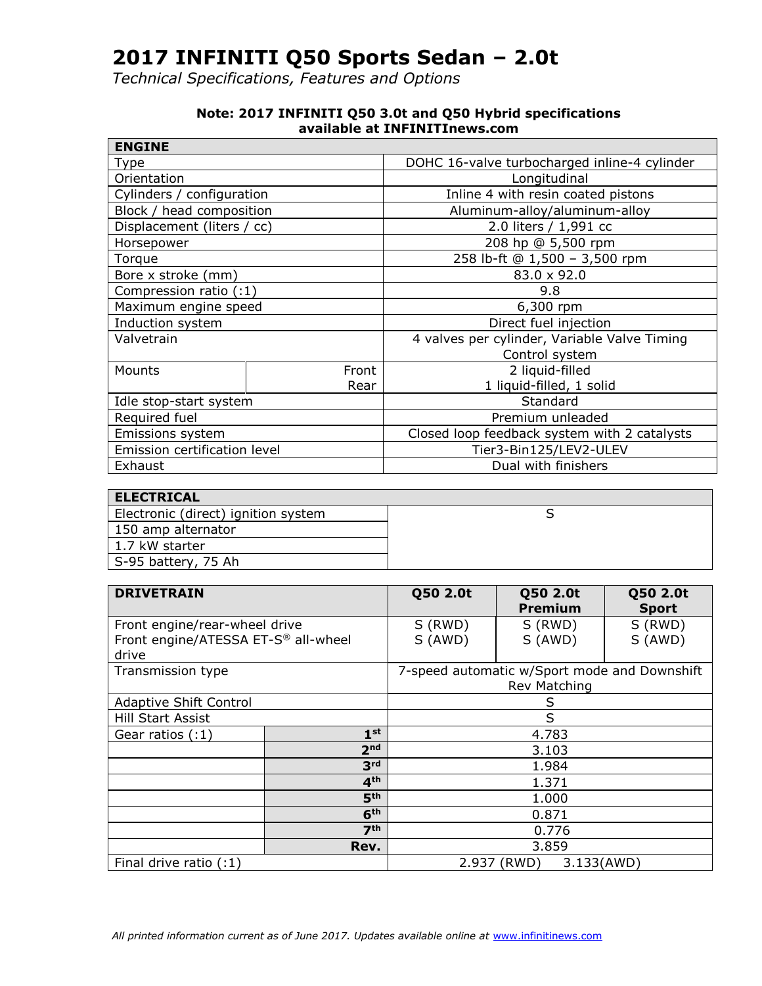*Technical Specifications, Features and Options*

| <b>ENGINE</b>                     |       |                                                                                                                                                                                                                     |  |
|-----------------------------------|-------|---------------------------------------------------------------------------------------------------------------------------------------------------------------------------------------------------------------------|--|
| Type                              |       | DOHC 16-valve turbocharged inline-4 cylinder<br>Longitudinal<br>Inline 4 with resin coated pistons<br>Aluminum-alloy/aluminum-alloy<br>2.0 liters / 1,991 cc<br>208 hp @ 5,500 rpm<br>258 lb-ft @ 1,500 - 3,500 rpm |  |
| Orientation                       |       |                                                                                                                                                                                                                     |  |
| Cylinders / configuration         |       |                                                                                                                                                                                                                     |  |
| Block / head composition          |       |                                                                                                                                                                                                                     |  |
| Displacement (liters / cc)        |       |                                                                                                                                                                                                                     |  |
| Horsepower                        |       |                                                                                                                                                                                                                     |  |
| Torque                            |       |                                                                                                                                                                                                                     |  |
| 83.0 x 92.0<br>Bore x stroke (mm) |       |                                                                                                                                                                                                                     |  |
| Compression ratio (:1)            |       | 9.8                                                                                                                                                                                                                 |  |
| Maximum engine speed              |       | 6,300 rpm                                                                                                                                                                                                           |  |
| Induction system                  |       | Direct fuel injection                                                                                                                                                                                               |  |
| Valvetrain                        |       | 4 valves per cylinder, Variable Valve Timing                                                                                                                                                                        |  |
|                                   |       | Control system                                                                                                                                                                                                      |  |
| Mounts                            | Front | 2 liquid-filled                                                                                                                                                                                                     |  |
|                                   | Rear  | 1 liquid-filled, 1 solid                                                                                                                                                                                            |  |
| Idle stop-start system            |       | Standard                                                                                                                                                                                                            |  |
| Required fuel                     |       | Premium unleaded                                                                                                                                                                                                    |  |
| Emissions system                  |       | Closed loop feedback system with 2 catalysts                                                                                                                                                                        |  |
| Emission certification level      |       | Tier3-Bin125/LEV2-ULEV                                                                                                                                                                                              |  |
| Exhaust                           |       | Dual with finishers                                                                                                                                                                                                 |  |

#### **Note: 2017 INFINITI Q50 3.0t and Q50 Hybrid specifications available at INFINITInews.com**

| <b>ELECTRICAL</b>                   |  |  |  |
|-------------------------------------|--|--|--|
| Electronic (direct) ignition system |  |  |  |
| 150 amp alternator                  |  |  |  |
| 1.7 kW starter                      |  |  |  |
| S-95 battery, 75 Ah                 |  |  |  |

| <b>DRIVETRAIN</b>                   |                 | Q50 2.0t | Q50 2.0t<br><b>Premium</b>                   | Q50 2.0t<br><b>Sport</b> |
|-------------------------------------|-----------------|----------|----------------------------------------------|--------------------------|
| Front engine/rear-wheel drive       |                 | S (RWD)  | S (RWD)                                      | S (RWD)                  |
| Front engine/ATESSA ET-S® all-wheel |                 | S (AWD)  | S (AWD)                                      | S (AWD)                  |
| drive                               |                 |          |                                              |                          |
| Transmission type                   |                 |          | 7-speed automatic w/Sport mode and Downshift |                          |
|                                     |                 |          | Rev Matching                                 |                          |
| <b>Adaptive Shift Control</b>       |                 | S        |                                              |                          |
| Hill Start Assist                   |                 | S        |                                              |                          |
| Gear ratios $(:1)$                  | 1 <sup>st</sup> |          | 4.783                                        |                          |
|                                     | 2 <sub>nd</sub> |          | 3.103                                        |                          |
|                                     | 3 <sup>rd</sup> |          | 1.984                                        |                          |
|                                     | 4 <sup>th</sup> | 1.371    |                                              |                          |
|                                     | 5 <sup>th</sup> | 1.000    |                                              |                          |
| 6 <sup>th</sup>                     |                 | 0.871    |                                              |                          |
|                                     | 7 <sup>th</sup> | 0.776    |                                              |                          |
|                                     | Rev.            | 3.859    |                                              |                          |
| Final drive ratio (:1)              |                 |          | 2.937 (RWD)<br>3.133(AWD)                    |                          |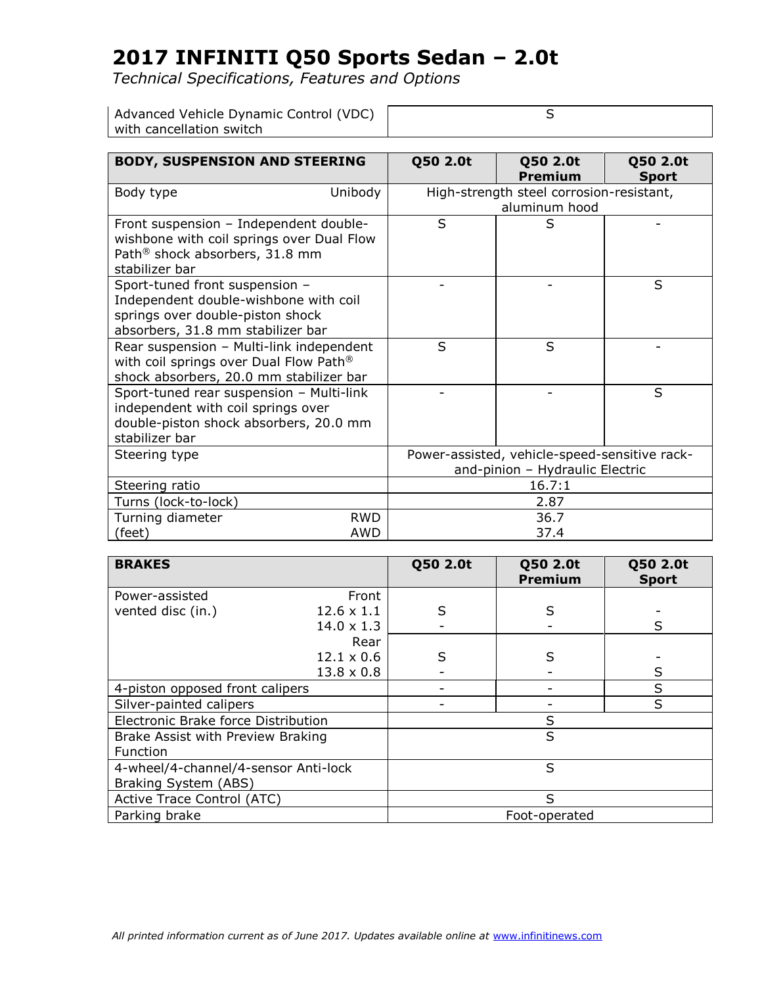| Advanced Vehicle Dynamic Control (VDC) |  |
|----------------------------------------|--|
| with cancellation switch               |  |

| <b>BODY, SUSPENSION AND STEERING</b>                                                                                                                |            | Q50 2.0t                                                                         | Q50 2.0t<br><b>Premium</b> | Q50 2.0t<br><b>Sport</b> |
|-----------------------------------------------------------------------------------------------------------------------------------------------------|------------|----------------------------------------------------------------------------------|----------------------------|--------------------------|
| Body type                                                                                                                                           | Unibody    | High-strength steel corrosion-resistant,<br>aluminum hood                        |                            |                          |
| Front suspension - Independent double-<br>wishbone with coil springs over Dual Flow<br>Path <sup>®</sup> shock absorbers, 31.8 mm<br>stabilizer bar |            | S                                                                                | S                          |                          |
| Sport-tuned front suspension -<br>Independent double-wishbone with coil<br>springs over double-piston shock<br>absorbers, 31.8 mm stabilizer bar    |            |                                                                                  |                            | S                        |
| Rear suspension - Multi-link independent<br>with coil springs over Dual Flow Path®<br>shock absorbers, 20.0 mm stabilizer bar                       |            | S                                                                                | S                          |                          |
| Sport-tuned rear suspension - Multi-link<br>independent with coil springs over<br>double-piston shock absorbers, 20.0 mm<br>stabilizer bar          |            |                                                                                  |                            | S                        |
| Steering type                                                                                                                                       |            | Power-assisted, vehicle-speed-sensitive rack-<br>and-pinion - Hydraulic Electric |                            |                          |
| Steering ratio                                                                                                                                      |            | 16.7:1                                                                           |                            |                          |
| Turns (lock-to-lock)                                                                                                                                |            | 2.87                                                                             |                            |                          |
| Turning diameter<br>(feet)                                                                                                                          | RWD<br>AWD |                                                                                  | 36.7<br>37.4               |                          |

| <b>BRAKES</b>                        |                   | Q50 2.0t      | Q50 2.0t<br><b>Premium</b> | Q50 2.0t<br><b>Sport</b> |
|--------------------------------------|-------------------|---------------|----------------------------|--------------------------|
| Power-assisted                       | Front             |               |                            |                          |
| vented disc (in.)                    | $12.6 \times 1.1$ | S             | S                          |                          |
|                                      | $14.0 \times 1.3$ |               |                            | S                        |
|                                      | Rear              |               |                            |                          |
|                                      | $12.1 \times 0.6$ | S             | S                          |                          |
|                                      | $13.8 \times 0.8$ |               |                            | S                        |
| 4-piston opposed front calipers      |                   |               |                            | $\sf S$                  |
| Silver-painted calipers              |                   |               |                            | S                        |
| Electronic Brake force Distribution  |                   | S             |                            |                          |
| Brake Assist with Preview Braking    |                   | S             |                            |                          |
| Function                             |                   |               |                            |                          |
| 4-wheel/4-channel/4-sensor Anti-lock |                   | S             |                            |                          |
| Braking System (ABS)                 |                   |               |                            |                          |
| Active Trace Control (ATC)           |                   | S             |                            |                          |
| Parking brake                        |                   | Foot-operated |                            |                          |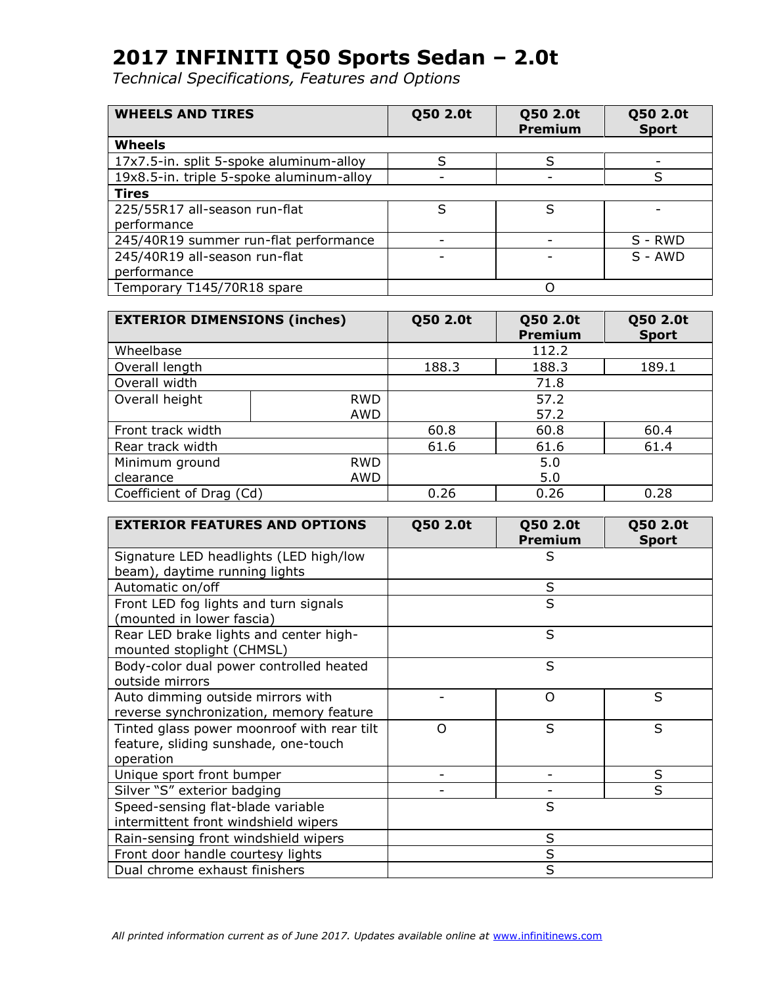| <b>WHEELS AND TIRES</b>                  | Q50 2.0t | Q50 2.0t<br><b>Premium</b> | Q50 2.0t<br><b>Sport</b> |
|------------------------------------------|----------|----------------------------|--------------------------|
| Wheels                                   |          |                            |                          |
| 17x7.5-in. split 5-spoke aluminum-alloy  |          | S                          |                          |
| 19x8.5-in. triple 5-spoke aluminum-alloy |          |                            | ς                        |
| <b>Tires</b>                             |          |                            |                          |
| 225/55R17 all-season run-flat            |          | S                          |                          |
| performance                              |          |                            |                          |
| 245/40R19 summer run-flat performance    |          |                            | S - RWD                  |
| 245/40R19 all-season run-flat            |          |                            | $S - AWD$                |
| performance                              |          |                            |                          |
| Temporary T145/70R18 spare               |          | Ω                          |                          |

| <b>EXTERIOR DIMENSIONS (inches)</b> |            | Q50 2.0t                | Q50 2.0t<br><b>Premium</b> | Q50 2.0t<br><b>Sport</b> |
|-------------------------------------|------------|-------------------------|----------------------------|--------------------------|
| Wheelbase                           |            |                         | 112.2                      |                          |
| Overall length                      |            | 188.3<br>188.3<br>189.1 |                            |                          |
| Overall width                       |            | 71.8                    |                            |                          |
| Overall height                      | <b>RWD</b> | 57.2                    |                            |                          |
|                                     | AWD        |                         | 57.2                       |                          |
| Front track width                   |            | 60.8                    | 60.8                       | 60.4                     |
| Rear track width                    |            | 61.6<br>61.6<br>61.4    |                            |                          |
| Minimum ground                      | <b>RWD</b> | 5.0                     |                            |                          |
| clearance                           | AWD        | 5.0                     |                            |                          |
| Coefficient of Drag (Cd)            |            | 0.26                    | 0.26                       | 0.28                     |

| <b>EXTERIOR FEATURES AND OPTIONS</b>                                                            | Q50 2.0t | Q50 2.0t<br><b>Premium</b> | Q50 2.0t<br><b>Sport</b> |
|-------------------------------------------------------------------------------------------------|----------|----------------------------|--------------------------|
| Signature LED headlights (LED high/low<br>beam), daytime running lights                         |          | S                          |                          |
| Automatic on/off                                                                                |          | S                          |                          |
| Front LED fog lights and turn signals<br>(mounted in lower fascia)                              |          | S                          |                          |
| Rear LED brake lights and center high-<br>mounted stoplight (CHMSL)                             |          | S                          |                          |
| Body-color dual power controlled heated<br>outside mirrors                                      |          | S                          |                          |
| Auto dimming outside mirrors with<br>reverse synchronization, memory feature                    |          | O                          | S                        |
| Tinted glass power moonroof with rear tilt<br>feature, sliding sunshade, one-touch<br>operation | $\Omega$ | S                          | S                        |
| Unique sport front bumper                                                                       |          |                            | S                        |
| Silver "S" exterior badging                                                                     |          |                            | S                        |
| Speed-sensing flat-blade variable<br>intermittent front windshield wipers                       |          | S                          |                          |
| Rain-sensing front windshield wipers                                                            | S        |                            |                          |
| Front door handle courtesy lights                                                               | S        |                            |                          |
| Dual chrome exhaust finishers                                                                   | S        |                            |                          |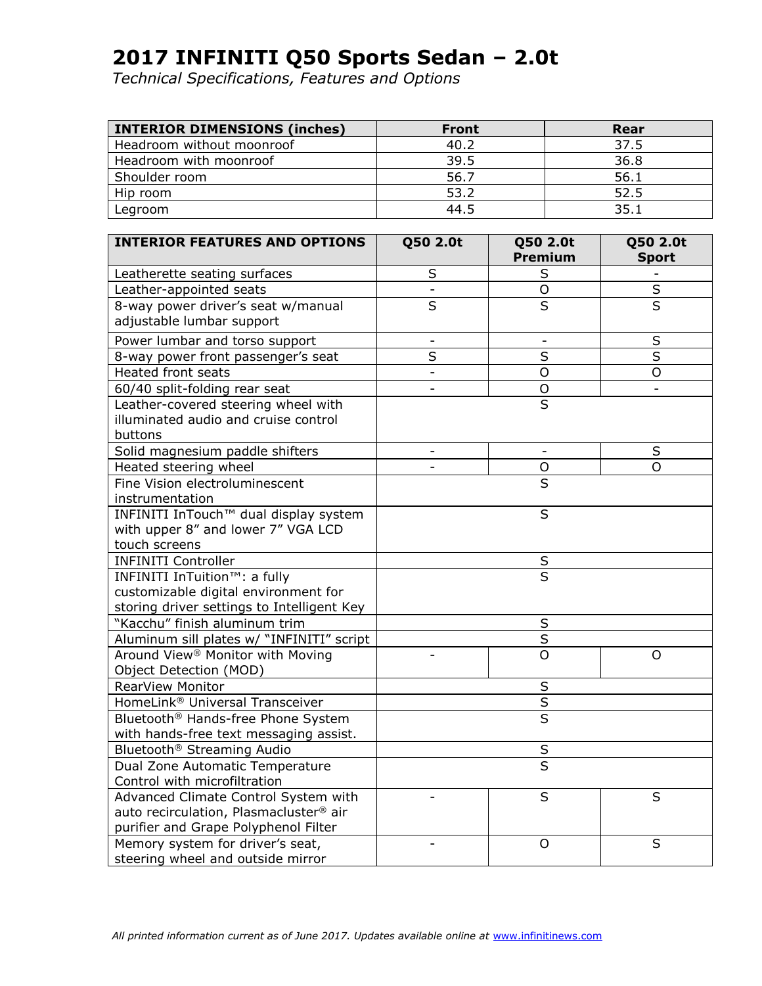| <b>INTERIOR DIMENSIONS (inches)</b> | <b>Front</b> | Rear |
|-------------------------------------|--------------|------|
| Headroom without moonroof           | 40.2         | 37.5 |
| Headroom with moonroof              | 39.5         | 36.8 |
| Shoulder room                       | 56.7         | 56.1 |
| Hip room                            | 53.2         | 52.5 |
| Legroom                             | 44.5         | 35.1 |

| <b>INTERIOR FEATURES AND OPTIONS</b>                                        | Q50 2.0t                 | Q50 2.0t<br>Premium     | Q50 2.0t<br><b>Sport</b> |
|-----------------------------------------------------------------------------|--------------------------|-------------------------|--------------------------|
|                                                                             | S                        | S                       |                          |
| Leatherette seating surfaces<br>Leather-appointed seats                     |                          | $\overline{O}$          | $\overline{\mathsf{s}}$  |
| 8-way power driver's seat w/manual                                          | $\overline{\mathsf{s}}$  | $\overline{\mathsf{s}}$ | $\overline{\mathsf{s}}$  |
| adjustable lumbar support                                                   |                          |                         |                          |
|                                                                             |                          |                         |                          |
| Power lumbar and torso support                                              | $\overline{\phantom{0}}$ |                         | S                        |
| 8-way power front passenger's seat                                          | S                        | S                       | S                        |
| <b>Heated front seats</b>                                                   | $\overline{\phantom{a}}$ | $\circ$                 | O                        |
| 60/40 split-folding rear seat                                               | $\blacksquare$           | O                       |                          |
| Leather-covered steering wheel with<br>illuminated audio and cruise control |                          | $\overline{\mathsf{s}}$ |                          |
| buttons                                                                     |                          |                         |                          |
| Solid magnesium paddle shifters                                             |                          |                         | S                        |
| Heated steering wheel                                                       |                          | O                       | O                        |
| Fine Vision electroluminescent                                              |                          | S                       |                          |
| instrumentation                                                             |                          |                         |                          |
| INFINITI InTouch™ dual display system                                       | S                        |                         |                          |
| with upper 8" and lower 7" VGA LCD                                          |                          |                         |                          |
| touch screens                                                               |                          |                         |                          |
| <b>INFINITI Controller</b>                                                  |                          | $\sf S$                 |                          |
| INFINITI InTuition™: a fully                                                |                          | $\overline{\mathsf{S}}$ |                          |
| customizable digital environment for                                        |                          |                         |                          |
| storing driver settings to Intelligent Key                                  |                          |                         |                          |
| "Kacchu" finish aluminum trim                                               |                          | $\sf S$                 |                          |
| Aluminum sill plates w/ "INFINITI" script                                   |                          | $\overline{\mathsf{s}}$ |                          |
| Around View <sup>®</sup> Monitor with Moving                                |                          | $\overline{O}$          | O                        |
| Object Detection (MOD)                                                      |                          |                         |                          |
| RearView Monitor                                                            |                          | $\sf S$                 |                          |
| HomeLink® Universal Transceiver                                             |                          | $\overline{S}$          |                          |
| Bluetooth® Hands-free Phone System                                          |                          | $\overline{\mathsf{s}}$ |                          |
| with hands-free text messaging assist.                                      |                          |                         |                          |
| Bluetooth <sup>®</sup> Streaming Audio                                      | $\sf S$                  |                         |                          |
| Dual Zone Automatic Temperature                                             |                          | $\overline{\mathsf{s}}$ |                          |
| Control with microfiltration                                                |                          |                         |                          |
| Advanced Climate Control System with                                        |                          | S                       | S                        |
| auto recirculation, Plasmacluster® air                                      |                          |                         |                          |
| purifier and Grape Polyphenol Filter                                        |                          |                         |                          |
| Memory system for driver's seat,                                            |                          | $\circ$                 | S                        |
| steering wheel and outside mirror                                           |                          |                         |                          |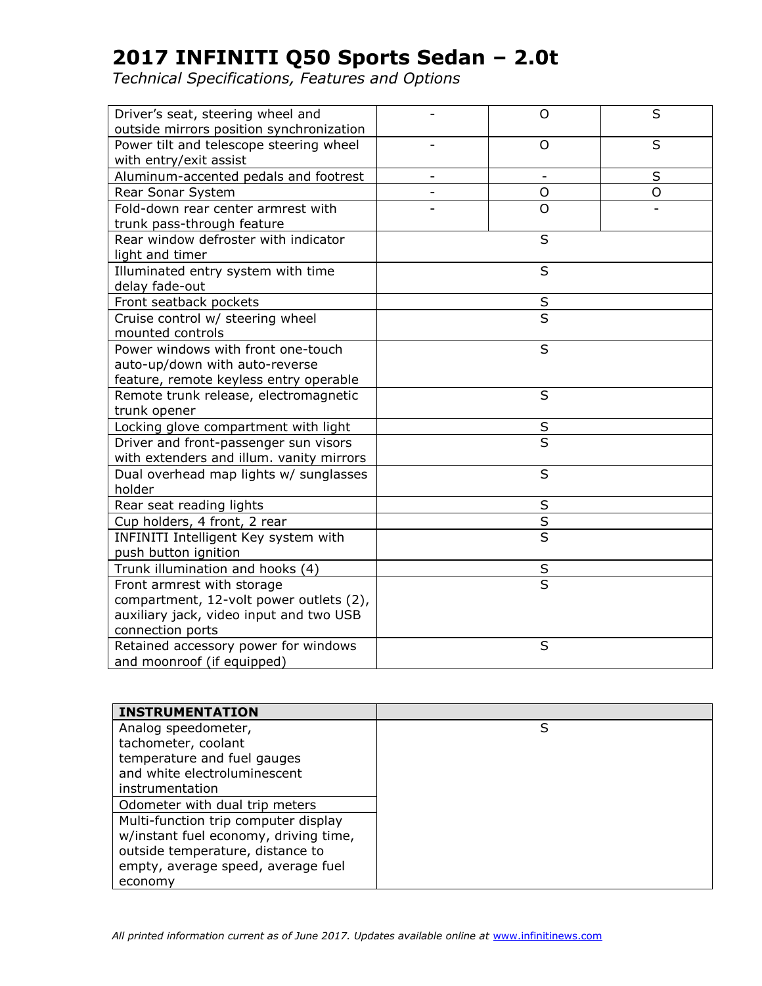| Driver's seat, steering wheel and<br>outside mirrors position synchronization |                          | $\circ$                  | S |
|-------------------------------------------------------------------------------|--------------------------|--------------------------|---|
| Power tilt and telescope steering wheel<br>with entry/exit assist             |                          | $\circ$                  | S |
| Aluminum-accented pedals and footrest                                         | $\overline{\phantom{0}}$ | $\overline{\phantom{a}}$ | S |
| Rear Sonar System                                                             |                          | O                        | O |
| Fold-down rear center armrest with                                            |                          | $\circ$                  |   |
| trunk pass-through feature                                                    |                          |                          |   |
| Rear window defroster with indicator                                          |                          | S                        |   |
| light and timer                                                               |                          |                          |   |
| Illuminated entry system with time<br>delay fade-out                          |                          | S                        |   |
| Front seatback pockets                                                        |                          | $\sf S$                  |   |
| Cruise control w/ steering wheel<br>mounted controls                          |                          | $\overline{\mathsf{s}}$  |   |
| Power windows with front one-touch                                            |                          | S                        |   |
| auto-up/down with auto-reverse                                                |                          |                          |   |
| feature, remote keyless entry operable                                        |                          |                          |   |
| Remote trunk release, electromagnetic                                         |                          | S                        |   |
| trunk opener                                                                  |                          |                          |   |
| Locking glove compartment with light                                          |                          | $\sf S$                  |   |
| Driver and front-passenger sun visors                                         | $\overline{\mathsf{s}}$  |                          |   |
| with extenders and illum. vanity mirrors                                      |                          |                          |   |
| Dual overhead map lights w/ sunglasses                                        |                          | S                        |   |
| holder                                                                        |                          |                          |   |
| Rear seat reading lights                                                      |                          | $\sf S$                  |   |
| Cup holders, 4 front, 2 rear                                                  |                          | $\overline{\mathsf{s}}$  |   |
| INFINITI Intelligent Key system with                                          |                          | $\overline{\mathsf{s}}$  |   |
| push button ignition                                                          |                          |                          |   |
| Trunk illumination and hooks (4)                                              | $rac{S}{S}$              |                          |   |
| Front armrest with storage                                                    |                          |                          |   |
| compartment, 12-volt power outlets (2),                                       |                          |                          |   |
| auxiliary jack, video input and two USB                                       |                          |                          |   |
| connection ports                                                              |                          | S                        |   |
| Retained accessory power for windows                                          |                          |                          |   |
| and moonroof (if equipped)                                                    |                          |                          |   |

| <b>INSTRUMENTATION</b>                |   |
|---------------------------------------|---|
| Analog speedometer,                   | S |
| tachometer, coolant                   |   |
| temperature and fuel gauges           |   |
| and white electroluminescent          |   |
| instrumentation                       |   |
| Odometer with dual trip meters        |   |
| Multi-function trip computer display  |   |
| w/instant fuel economy, driving time, |   |
| outside temperature, distance to      |   |
| empty, average speed, average fuel    |   |
| economy                               |   |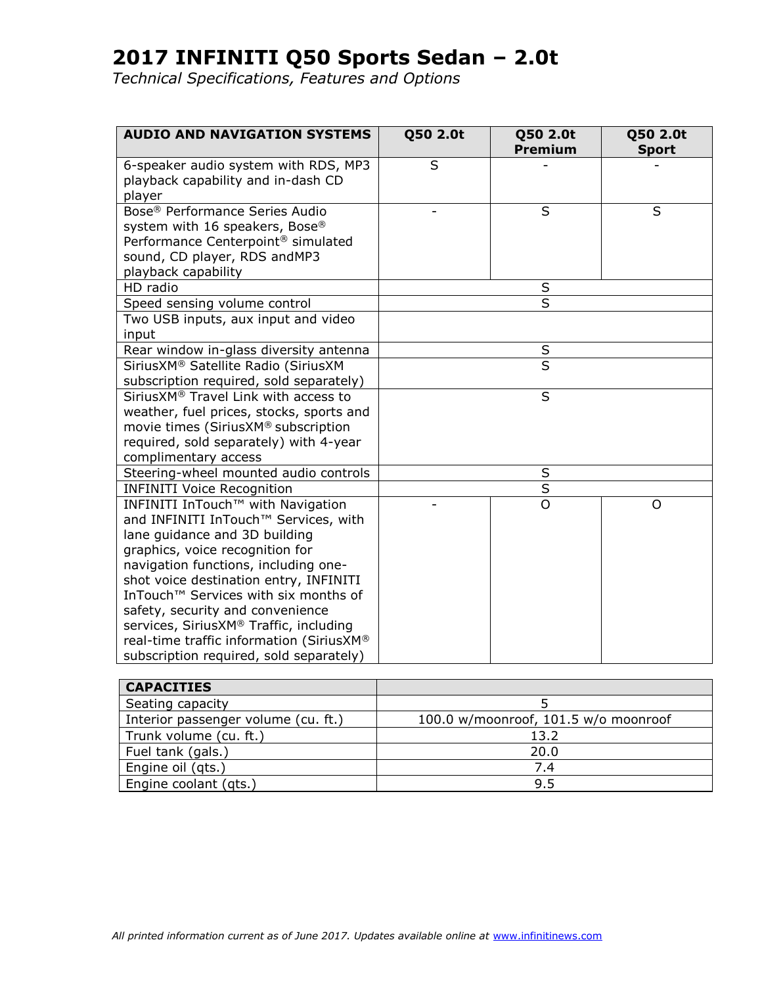| <b>AUDIO AND NAVIGATION SYSTEMS</b>                                                                                                                                                                                                                                                                                                                                                                                                                      | Q50 2.0t                | Q50 2.0t<br>Premium | Q50 2.0t<br><b>Sport</b> |  |
|----------------------------------------------------------------------------------------------------------------------------------------------------------------------------------------------------------------------------------------------------------------------------------------------------------------------------------------------------------------------------------------------------------------------------------------------------------|-------------------------|---------------------|--------------------------|--|
| 6-speaker audio system with RDS, MP3<br>playback capability and in-dash CD<br>player                                                                                                                                                                                                                                                                                                                                                                     | S                       |                     |                          |  |
| Bose <sup>®</sup> Performance Series Audio<br>system with 16 speakers, Bose®<br>Performance Centerpoint <sup>®</sup> simulated<br>sound, CD player, RDS andMP3<br>playback capability                                                                                                                                                                                                                                                                    |                         | S                   | S                        |  |
| HD radio                                                                                                                                                                                                                                                                                                                                                                                                                                                 |                         | S                   |                          |  |
| Speed sensing volume control<br>Two USB inputs, aux input and video<br>input                                                                                                                                                                                                                                                                                                                                                                             |                         | S                   |                          |  |
| Rear window in-glass diversity antenna                                                                                                                                                                                                                                                                                                                                                                                                                   |                         | S                   |                          |  |
| SiriusXM® Satellite Radio (SiriusXM<br>subscription required, sold separately)                                                                                                                                                                                                                                                                                                                                                                           | $\overline{\mathsf{s}}$ |                     |                          |  |
| SiriusXM® Travel Link with access to<br>weather, fuel prices, stocks, sports and<br>movie times (SiriusXM® subscription<br>required, sold separately) with 4-year<br>complimentary access                                                                                                                                                                                                                                                                | S                       |                     |                          |  |
| Steering-wheel mounted audio controls                                                                                                                                                                                                                                                                                                                                                                                                                    |                         | S                   |                          |  |
| <b>INFINITI Voice Recognition</b>                                                                                                                                                                                                                                                                                                                                                                                                                        | S                       |                     |                          |  |
| INFINITI InTouch™ with Navigation<br>and INFINITI InTouch™ Services, with<br>lane guidance and 3D building<br>graphics, voice recognition for<br>navigation functions, including one-<br>shot voice destination entry, INFINITI<br>InTouch <sup>™</sup> Services with six months of<br>safety, security and convenience<br>services, SiriusXM® Traffic, including<br>real-time traffic information (SiriusXM®<br>subscription required, sold separately) |                         | $\overline{O}$      | O                        |  |

| <b>CAPACITIES</b>                   |                                      |
|-------------------------------------|--------------------------------------|
| Seating capacity                    |                                      |
| Interior passenger volume (cu. ft.) | 100.0 w/moonroof, 101.5 w/o moonroof |
| Trunk volume (cu. ft.)              | 13.2                                 |
| Fuel tank (gals.)                   | 20.0                                 |
| Engine oil (qts.)                   | 7.4                                  |
| Engine coolant (gts.)               | 9.5                                  |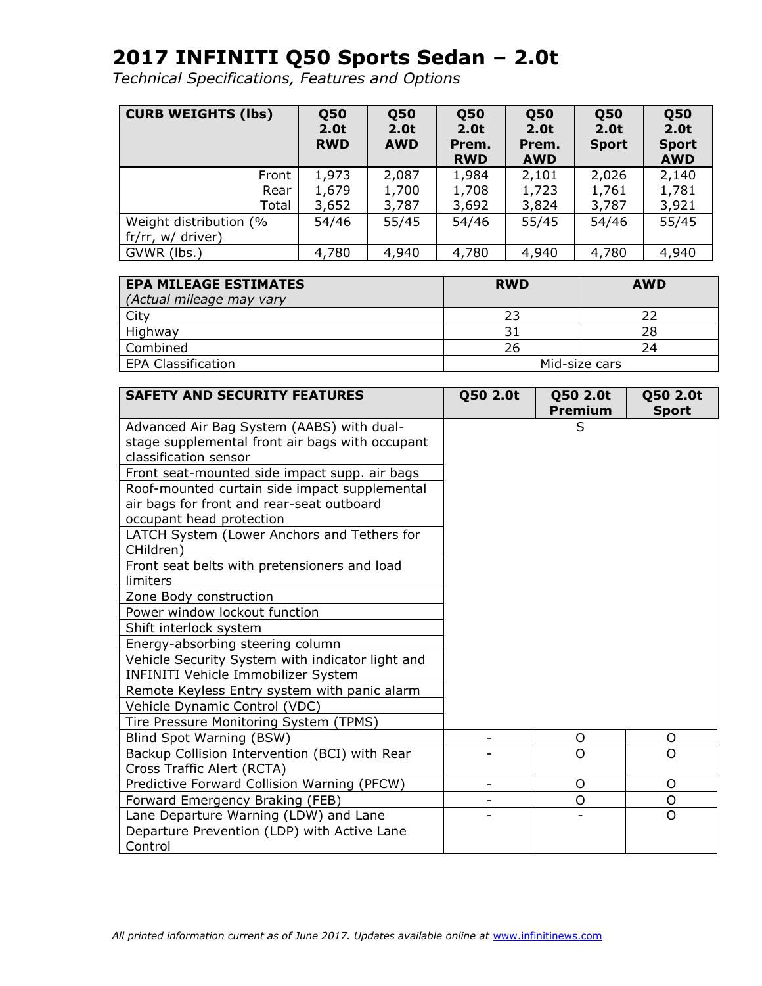| <b>CURB WEIGHTS (lbs)</b> | <b>Q50</b><br>2.0t<br><b>RWD</b> | <b>Q50</b><br>2.0 <sub>t</sub><br><b>AWD</b> | <b>050</b><br>2.0t<br>Prem.<br><b>RWD</b> | <b>Q50</b><br>2.0t<br>Prem.<br><b>AWD</b> | <b>Q50</b><br>2.0t<br><b>Sport</b> | <b>050</b><br>2.0 <sub>t</sub><br><b>Sport</b><br><b>AWD</b> |
|---------------------------|----------------------------------|----------------------------------------------|-------------------------------------------|-------------------------------------------|------------------------------------|--------------------------------------------------------------|
| Front                     | 1,973                            | 2,087                                        | 1,984                                     | 2,101                                     | 2,026                              | 2,140                                                        |
| Rear                      | 1,679                            | 1,700                                        | 1,708                                     | 1,723                                     | 1,761                              | 1,781                                                        |
| Total                     | 3,652                            | 3,787                                        | 3,692                                     | 3,824                                     | 3,787                              | 3,921                                                        |
| Weight distribution (%    | 54/46                            | 55/45                                        | 54/46                                     | 55/45                                     | 54/46                              | 55/45                                                        |
| fr/rr, w/ driver)         |                                  |                                              |                                           |                                           |                                    |                                                              |
| GVWR (lbs.)               | 4,780                            | 4,940                                        | 4,780                                     | 4,940                                     | 4,780                              | 4,940                                                        |

| <b>EPA MILEAGE ESTIMATES</b><br>(Actual mileage may vary | <b>RWD</b>    | <b>AWD</b> |  |
|----------------------------------------------------------|---------------|------------|--|
| City                                                     | 23            |            |  |
| Highway                                                  |               | 28         |  |
| Combined                                                 | 26            | 24         |  |
| <b>EPA Classification</b>                                | Mid-size cars |            |  |

| <b>SAFETY AND SECURITY FEATURES</b>              | Q50 2.0t | Q50 2.0t<br><b>Premium</b> | Q50 2.0t<br><b>Sport</b> |
|--------------------------------------------------|----------|----------------------------|--------------------------|
| Advanced Air Bag System (AABS) with dual-        |          | S                          |                          |
| stage supplemental front air bags with occupant  |          |                            |                          |
| classification sensor                            |          |                            |                          |
| Front seat-mounted side impact supp. air bags    |          |                            |                          |
| Roof-mounted curtain side impact supplemental    |          |                            |                          |
| air bags for front and rear-seat outboard        |          |                            |                          |
| occupant head protection                         |          |                            |                          |
| LATCH System (Lower Anchors and Tethers for      |          |                            |                          |
| CHildren)                                        |          |                            |                          |
| Front seat belts with pretensioners and load     |          |                            |                          |
| limiters                                         |          |                            |                          |
| Zone Body construction                           |          |                            |                          |
| Power window lockout function                    |          |                            |                          |
| Shift interlock system                           |          |                            |                          |
| Energy-absorbing steering column                 |          |                            |                          |
| Vehicle Security System with indicator light and |          |                            |                          |
| INFINITI Vehicle Immobilizer System              |          |                            |                          |
| Remote Keyless Entry system with panic alarm     |          |                            |                          |
| Vehicle Dynamic Control (VDC)                    |          |                            |                          |
| Tire Pressure Monitoring System (TPMS)           |          |                            |                          |
| Blind Spot Warning (BSW)                         |          | O                          | O                        |
| Backup Collision Intervention (BCI) with Rear    |          | O                          | $\Omega$                 |
| Cross Traffic Alert (RCTA)                       |          |                            |                          |
| Predictive Forward Collision Warning (PFCW)      |          | O                          | O                        |
| Forward Emergency Braking (FEB)                  |          | O                          | O                        |
| Lane Departure Warning (LDW) and Lane            |          |                            | $\overline{O}$           |
| Departure Prevention (LDP) with Active Lane      |          |                            |                          |
| Control                                          |          |                            |                          |